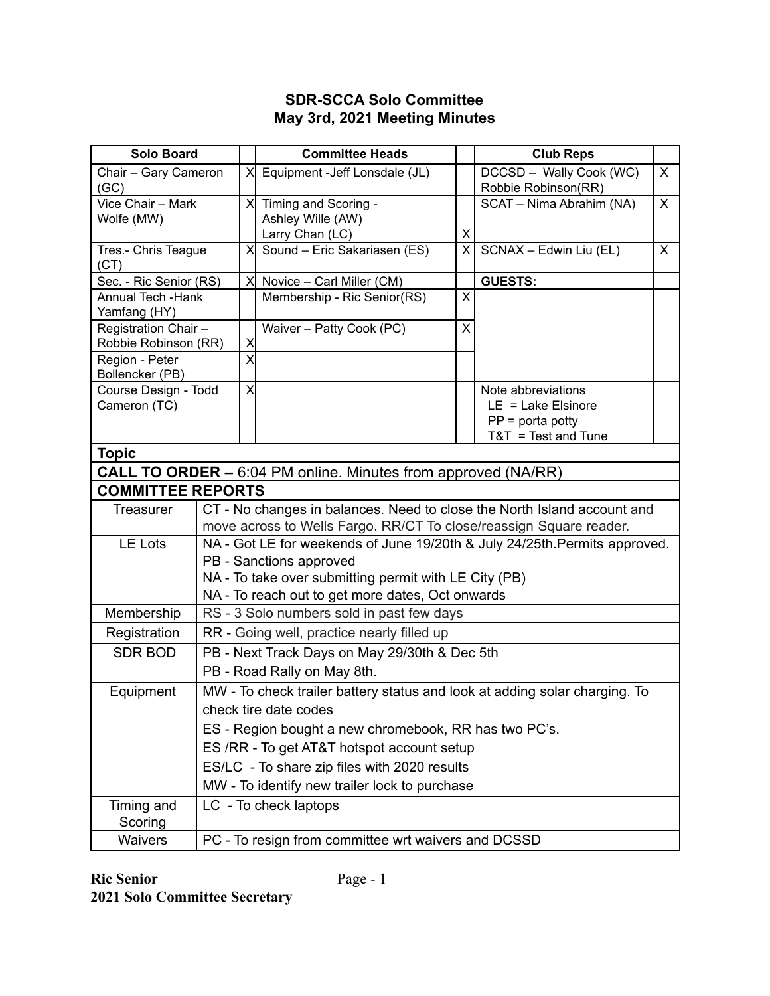## **SDR-SCCA Solo Committee May 3rd, 2021 Meeting Minutes**

| <b>Solo Board</b>                                                    |                                                                            |                           | <b>Committee Heads</b>                                                                                                                           |                | <b>Club Reps</b>                               |              |  |  |
|----------------------------------------------------------------------|----------------------------------------------------------------------------|---------------------------|--------------------------------------------------------------------------------------------------------------------------------------------------|----------------|------------------------------------------------|--------------|--|--|
| Chair - Gary Cameron<br>(GC)                                         |                                                                            | $\times$                  | Equipment - Jeff Lonsdale (JL)                                                                                                                   |                | DCCSD - Wally Cook (WC)<br>Robbie Robinson(RR) | $\mathsf{X}$ |  |  |
| Vice Chair - Mark                                                    |                                                                            | X                         | Timing and Scoring -                                                                                                                             |                | SCAT - Nima Abrahim (NA)                       | $\mathsf{X}$ |  |  |
| Wolfe (MW)                                                           |                                                                            |                           | Ashley Wille (AW)<br>Larry Chan (LC)                                                                                                             | X              |                                                |              |  |  |
| Tres.- Chris Teague                                                  |                                                                            | $\times$                  | Sound - Eric Sakariasen (ES)                                                                                                                     | $\overline{X}$ | SCNAX - Edwin Liu (EL)                         | $\mathsf{X}$ |  |  |
| (CT)                                                                 |                                                                            |                           |                                                                                                                                                  |                |                                                |              |  |  |
| Sec. - Ric Senior (RS)                                               |                                                                            | $\times$                  | Novice - Carl Miller (CM)                                                                                                                        |                | <b>GUESTS:</b>                                 |              |  |  |
| <b>Annual Tech - Hank</b><br>Yamfang (HY)                            |                                                                            |                           | Membership - Ric Senior(RS)                                                                                                                      | X              |                                                |              |  |  |
| Registration Chair -                                                 |                                                                            |                           | Waiver - Patty Cook (PC)                                                                                                                         | X              |                                                |              |  |  |
| Robbie Robinson (RR)                                                 |                                                                            | X                         |                                                                                                                                                  |                |                                                |              |  |  |
| Region - Peter                                                       |                                                                            | $\overline{\mathsf{x}}$   |                                                                                                                                                  |                |                                                |              |  |  |
| Bollencker (PB)<br>Course Design - Todd                              |                                                                            | $\boldsymbol{\mathsf{X}}$ |                                                                                                                                                  |                | Note abbreviations                             |              |  |  |
| Cameron (TC)                                                         |                                                                            |                           |                                                                                                                                                  |                | $LE = Lake Elsinore$                           |              |  |  |
|                                                                      |                                                                            |                           |                                                                                                                                                  |                | $PP = porta$ potty                             |              |  |  |
|                                                                      |                                                                            |                           |                                                                                                                                                  |                | $T&T = Test$ and Tune                          |              |  |  |
| <b>Topic</b>                                                         |                                                                            |                           |                                                                                                                                                  |                |                                                |              |  |  |
| <b>CALL TO ORDER –</b> 6:04 PM online. Minutes from approved (NA/RR) |                                                                            |                           |                                                                                                                                                  |                |                                                |              |  |  |
| <b>COMMITTEE REPORTS</b>                                             |                                                                            |                           |                                                                                                                                                  |                |                                                |              |  |  |
| <b>Treasurer</b>                                                     |                                                                            |                           | CT - No changes in balances. Need to close the North Island account and                                                                          |                |                                                |              |  |  |
|                                                                      | <b>LE Lots</b>                                                             |                           | move across to Wells Fargo. RR/CT To close/reassign Square reader.<br>NA - Got LE for weekends of June 19/20th & July 24/25th. Permits approved. |                |                                                |              |  |  |
|                                                                      |                                                                            |                           | PB - Sanctions approved                                                                                                                          |                |                                                |              |  |  |
|                                                                      |                                                                            |                           | NA - To take over submitting permit with LE City (PB)                                                                                            |                |                                                |              |  |  |
|                                                                      |                                                                            |                           | NA - To reach out to get more dates, Oct onwards                                                                                                 |                |                                                |              |  |  |
| Membership                                                           | RS - 3 Solo numbers sold in past few days                                  |                           |                                                                                                                                                  |                |                                                |              |  |  |
| Registration                                                         | RR - Going well, practice nearly filled up                                 |                           |                                                                                                                                                  |                |                                                |              |  |  |
| <b>SDR BOD</b>                                                       |                                                                            |                           | PB - Next Track Days on May 29/30th & Dec 5th                                                                                                    |                |                                                |              |  |  |
|                                                                      |                                                                            |                           | PB - Road Rally on May 8th.                                                                                                                      |                |                                                |              |  |  |
| Equipment                                                            | MW - To check trailer battery status and look at adding solar charging. To |                           |                                                                                                                                                  |                |                                                |              |  |  |
|                                                                      |                                                                            |                           | check tire date codes                                                                                                                            |                |                                                |              |  |  |
|                                                                      |                                                                            |                           | ES - Region bought a new chromebook, RR has two PC's.                                                                                            |                |                                                |              |  |  |
|                                                                      |                                                                            |                           | ES /RR - To get AT&T hotspot account setup                                                                                                       |                |                                                |              |  |  |
|                                                                      |                                                                            |                           | ES/LC - To share zip files with 2020 results                                                                                                     |                |                                                |              |  |  |
|                                                                      |                                                                            |                           | MW - To identify new trailer lock to purchase                                                                                                    |                |                                                |              |  |  |
| Timing and                                                           |                                                                            | LC - To check laptops     |                                                                                                                                                  |                |                                                |              |  |  |
| Scoring                                                              |                                                                            |                           |                                                                                                                                                  |                |                                                |              |  |  |
| Waivers                                                              | PC - To resign from committee wrt waivers and DCSSD                        |                           |                                                                                                                                                  |                |                                                |              |  |  |